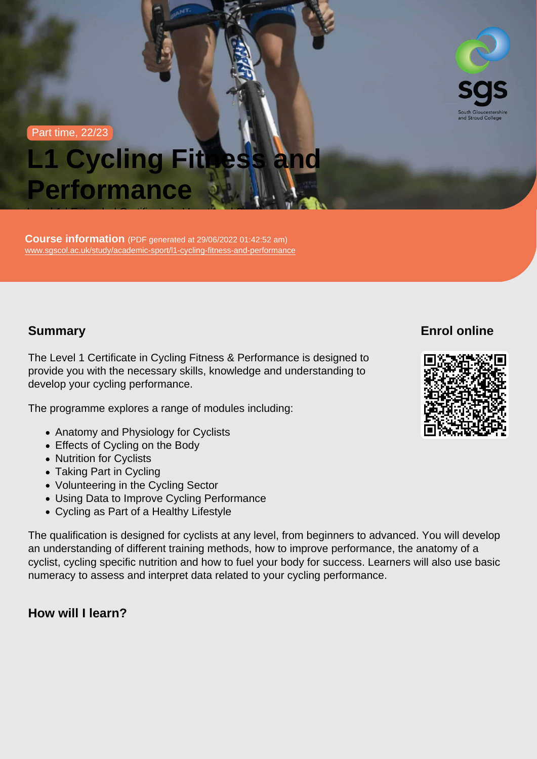Part time, 22/23

# L1 Cycling Fitness and **Performance**

Course information (PDF generated at 29/06/2022 01:42:52 am) [www.sgscol.ac.uk/study/academic-sport/l1-cycling-fitness-and-performance](https://www.sgscol.ac.uk/study/academic-sport/l1-cycling-fitness-and-performance)

Level 1 | Extended Certificate in Vocational Studies

## Summary

Enrol online

The Level 1 Certificate in Cycling Fitness & Performance is designed to provide you with the necessary skills, knowledge and understanding to develop your cycling performance.

The programme explores a range of modules including:

- Anatomy and Physiology for Cyclists
- Effects of Cycling on the Body
- Nutrition for Cyclists
- Taking Part in Cycling
- Volunteering in the Cycling Sector
- Using Data to Improve Cycling Performance
- Cycling as Part of a Healthy Lifestyle

The qualification is designed for cyclists at any level, from beginners to advanced. You will develop an understanding of different training methods, how to improve performance, the anatomy of a cyclist, cycling specific nutrition and how to fuel your body for success. Learners will also use basic numeracy to assess and interpret data related to your cycling performance.

How will I learn?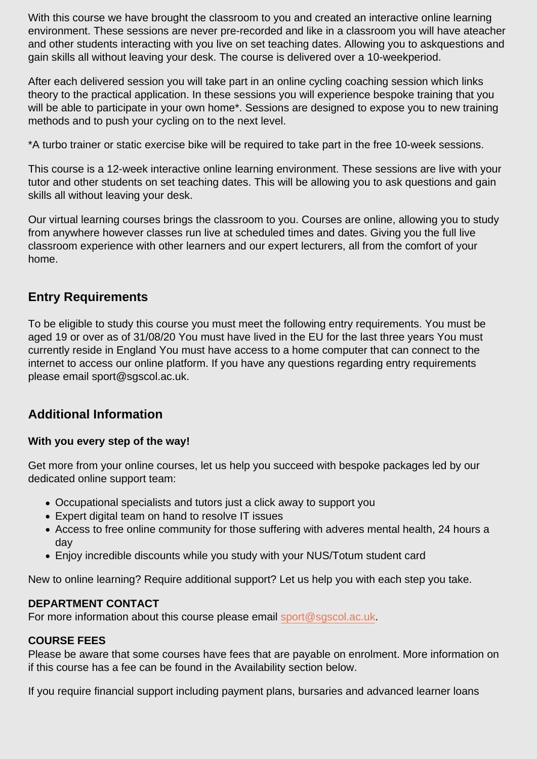With this course we have brought the classroom to you and created an interactive online learning environment. These sessions are never pre-recorded and like in a classroom you will have ateacher and other students interacting with you live on set teaching dates. Allowing you to askquestions and gain skills all without leaving your desk. The course is delivered over a 10-weekperiod.

After each delivered session you will take part in an online cycling coaching session which links theory to the practical application. In these sessions you will experience bespoke training that you will be able to participate in your own home\*. Sessions are designed to expose you to new training methods and to push your cycling on to the next level.

\*A turbo trainer or static exercise bike will be required to take part in the free 10-week sessions.

This course is a 12-week interactive online learning environment. These sessions are live with your tutor and other students on set teaching dates. This will be allowing you to ask questions and gain skills all without leaving your desk.

Our virtual learning courses brings the classroom to you. Courses are online, allowing you to study from anywhere however classes run live at scheduled times and dates. Giving you the full live classroom experience with other learners and our expert lecturers, all from the comfort of your home.

## Entry Requirements

To be eligible to study this course you must meet the following entry requirements. You must be aged 19 or over as of 31/08/20 You must have lived in the EU for the last three years You must currently reside in England You must have access to a home computer that can connect to the internet to access our online platform. If you have any questions regarding entry requirements please email sport@sgscol.ac.uk.

## Additional Information

With you every step of the way!

Get more from your online courses, let us help you succeed with bespoke packages led by our dedicated online support team:

- Occupational specialists and tutors just a click away to support you
- Expert digital team on hand to resolve IT issues
- Access to free online community for those suffering with adveres mental health, 24 hours a day
- Enjoy incredible discounts while you study with your NUS/Totum student card

New to online learning? Require additional support? Let us help you with each step you take.

#### DEPARTMENT CONTACT

For more information about this course please email [sport@sgscol.ac.uk](mailto:sport@sgscol.ac.uk).

#### COURSE FEES

Please be aware that some courses have fees that are payable on enrolment. More information on if this course has a fee can be found in the Availability section below.

If you require financial support including payment plans, bursaries and advanced learner loans